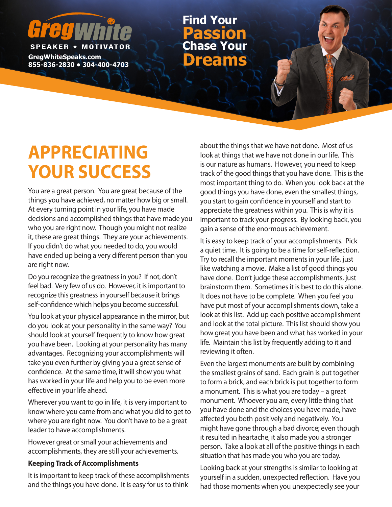# **SPEAKER • MOTIV**

**GregWhiteSpeaks.com**

**855-836-2830 • 304-400-4703 Dreams Chase Your Passion Find Your**

# **APPRECIATING YOUR SUCCESS**

You are a great person. You are great because of the things you have achieved, no matter how big or small. At every turning point in your life, you have made decisions and accomplished things that have made you who you are right now. Though you might not realize it, these are great things. They are your achievements. If you didn't do what you needed to do, you would have ended up being a very different person than you are right now.

Do you recognize the greatness in you? If not, don't feel bad. Very few of us do. However, it is important to recognize this greatness in yourself because it brings self-confidence which helps you become successful.

You look at your physical appearance in the mirror, but do you look at your personality in the same way? You should look at yourself frequently to know how great you have been. Looking at your personality has many advantages. Recognizing your accomplishments will take you even further by giving you a great sense of confidence. At the same time, it will show you what has worked in your life and help you to be even more effective in your life ahead.

Wherever you want to go in life, it is very important to know where you came from and what you did to get to where you are right now. You don't have to be a great leader to have accomplishments.

However great or small your achievements and accomplishments, they are still your achievements.

## **Keeping Track of Accomplishments**

It is important to keep track of these accomplishments and the things you have done. It is easy for us to think

about the things that we have not done. Most of us look at things that we have not done in our life. This is our nature as humans. However, you need to keep track of the good things that you have done. This is the most important thing to do. When you look back at the good things you have done, even the smallest things, you start to gain confidence in yourself and start to appreciate the greatness within you. This is why it is important to track your progress. By looking back, you gain a sense of the enormous achievement.

It is easy to keep track of your accomplishments. Pick a quiet time. It is going to be a time for self-reflection. Try to recall the important moments in your life, just like watching a movie. Make a list of good things you have done. Don't judge these accomplishments, just brainstorm them. Sometimes it is best to do this alone. It does not have to be complete. When you feel you have put most of your accomplishments down, take a look at this list. Add up each positive accomplishment and look at the total picture. This list should show you how great you have been and what has worked in your life. Maintain this list by frequently adding to it and reviewing it often.

Even the largest monuments are built by combining the smallest grains of sand. Each grain is put together to form a brick, and each brick is put together to form a monument. This is what you are today – a great monument. Whoever you are, every little thing that you have done and the choices you have made, have affected you both positively and negatively. You might have gone through a bad divorce; even though it resulted in heartache, it also made you a stronger person. Take a look at all of the positive things in each situation that has made you who you are today.

Looking back at your strengths is similar to looking at yourself in a sudden, unexpected reflection. Have you had those moments when you unexpectedly see your